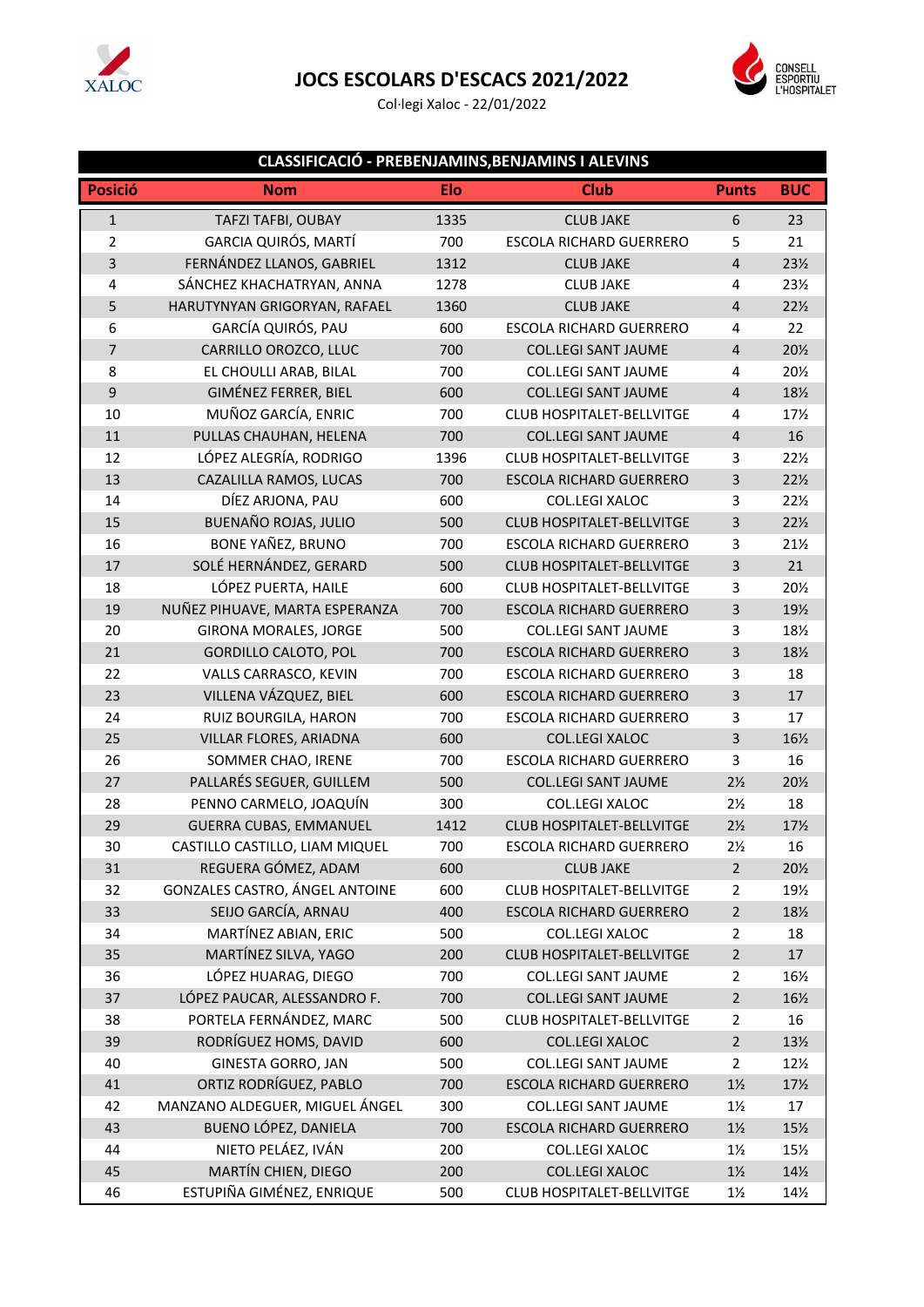

## **JOCS ESCOLARS D'ESCACS 2021/2022**

Col·legi Xaloc - 22/01/2022



## **CLASSIFICACIÓ - PREBENJAMINS,BENJAMINS I ALEVINS**

| <b>Posició</b> | <b>Nom</b>                     | Elo  | <b>Club</b>                      | <b>Punts</b>            | <b>BUC</b>      |
|----------------|--------------------------------|------|----------------------------------|-------------------------|-----------------|
| $\mathbf{1}$   | TAFZI TAFBI, OUBAY             | 1335 | <b>CLUB JAKE</b>                 | 6                       | 23              |
| $\overline{2}$ | GARCIA QUIRÓS, MARTÍ           | 700  | <b>ESCOLA RICHARD GUERRERO</b>   | 5                       | 21              |
| 3              | FERNÁNDEZ LLANOS, GABRIEL      | 1312 | <b>CLUB JAKE</b>                 | $\overline{4}$          | 23½             |
| 4              | SÁNCHEZ KHACHATRYAN, ANNA      | 1278 | <b>CLUB JAKE</b>                 | 4                       | 231/2           |
| 5              | HARUTYNYAN GRIGORYAN, RAFAEL   | 1360 | <b>CLUB JAKE</b>                 | $\overline{\mathbf{4}}$ | 221/2           |
| 6              | GARCÍA QUIRÓS, PAU             | 600  | <b>ESCOLA RICHARD GUERRERO</b>   | 4                       | 22              |
| $\overline{7}$ | CARRILLO OROZCO, LLUC          | 700  | <b>COL.LEGI SANT JAUME</b>       | $\overline{\mathbf{4}}$ | 201/2           |
| 8              | EL CHOULLI ARAB, BILAL         | 700  | <b>COL.LEGI SANT JAUME</b>       | 4                       | 201/2           |
| $\mathsf g$    | GIMÉNEZ FERRER, BIEL           | 600  | <b>COL.LEGI SANT JAUME</b>       | $\overline{4}$          | 18½             |
| 10             | MUÑOZ GARCÍA, ENRIC            | 700  | <b>CLUB HOSPITALET-BELLVITGE</b> | 4                       | 17%             |
| 11             | PULLAS CHAUHAN, HELENA         | 700  | <b>COL.LEGI SANT JAUME</b>       | 4                       | 16              |
| 12             | LÓPEZ ALEGRÍA, RODRIGO         | 1396 | CLUB HOSPITALET-BELLVITGE        | 3                       | 221/2           |
| 13             | CAZALILLA RAMOS, LUCAS         | 700  | <b>ESCOLA RICHARD GUERRERO</b>   | 3                       | 221/2           |
| 14             | DÍEZ ARJONA, PAU               | 600  | <b>COL.LEGI XALOC</b>            | 3                       | 221/2           |
| 15             | BUENAÑO ROJAS, JULIO           | 500  | <b>CLUB HOSPITALET-BELLVITGE</b> | 3                       | 221/2           |
| 16             | BONE YAÑEZ, BRUNO              | 700  | <b>ESCOLA RICHARD GUERRERO</b>   | 3                       | $21\frac{1}{2}$ |
| 17             | SOLÉ HERNÁNDEZ, GERARD         | 500  | <b>CLUB HOSPITALET-BELLVITGE</b> | $\overline{\mathbf{3}}$ | 21              |
| 18             | LÓPEZ PUERTA, HAILE            | 600  | CLUB HOSPITALET-BELLVITGE        | 3                       | 201/2           |
| 19             | NUÑEZ PIHUAVE, MARTA ESPERANZA | 700  | <b>ESCOLA RICHARD GUERRERO</b>   | 3                       | 19½             |
| 20             | GIRONA MORALES, JORGE          | 500  | <b>COL.LEGI SANT JAUME</b>       | 3                       | 181/2           |
| 21             | <b>GORDILLO CALOTO, POL</b>    | 700  | <b>ESCOLA RICHARD GUERRERO</b>   | 3                       | 18½             |
| 22             | VALLS CARRASCO, KEVIN          | 700  | ESCOLA RICHARD GUERRERO          | 3                       | 18              |
| 23             | VILLENA VÁZQUEZ, BIEL          | 600  | <b>ESCOLA RICHARD GUERRERO</b>   | $\overline{\mathbf{3}}$ | 17              |
| 24             | RUIZ BOURGILA, HARON           | 700  | <b>ESCOLA RICHARD GUERRERO</b>   | 3                       | 17              |
| 25             | VILLAR FLORES, ARIADNA         | 600  | <b>COL.LEGI XALOC</b>            | $\mathsf{3}$            | 16½             |
| 26             | SOMMER CHAO, IRENE             | 700  | ESCOLA RICHARD GUERRERO          | 3                       | 16              |
| 27             | PALLARÉS SEGUER, GUILLEM       | 500  | <b>COL.LEGI SANT JAUME</b>       | $2\frac{1}{2}$          | 201/2           |
| 28             | PENNO CARMELO, JOAQUÍN         | 300  | COL.LEGI XALOC                   | $2\frac{1}{2}$          | 18              |
| 29             | <b>GUERRA CUBAS, EMMANUEL</b>  | 1412 | <b>CLUB HOSPITALET-BELLVITGE</b> | $2\frac{1}{2}$          | 17%             |
| 30             | CASTILLO CASTILLO, LIAM MIQUEL | 700  | <b>ESCOLA RICHARD GUERRERO</b>   | $2\frac{1}{2}$          | 16              |
| 31             | REGUERA GÓMEZ, ADAM            | 600  | <b>CLUB JAKE</b>                 | $\mathbf 2$             | 201/2           |
| 32             | GONZALES CASTRO, ÁNGEL ANTOINE | 600  | <b>CLUB HOSPITALET-BELLVITGE</b> | $\overline{2}$          | 191/2           |
| 33             | SEIJO GARCÍA, ARNAU            | 400  | ESCOLA RICHARD GUERRERO          | $\overline{2}$          | 18½             |
| 34             | MARTÍNEZ ABIAN, ERIC           | 500  | COL.LEGI XALOC                   | $\overline{2}$          | 18              |
| 35             | MARTÍNEZ SILVA, YAGO           | 200  | CLUB HOSPITALET-BELLVITGE        | $\overline{2}$          | 17              |
| 36             | LÓPEZ HUARAG, DIEGO            | 700  | <b>COL.LEGI SANT JAUME</b>       | $\overline{2}$          | 16½             |
| 37             | LÓPEZ PAUCAR, ALESSANDRO F.    | 700  | <b>COL.LEGI SANT JAUME</b>       | $\overline{2}$          | 16½             |
| 38             | PORTELA FERNÁNDEZ, MARC        | 500  | <b>CLUB HOSPITALET-BELLVITGE</b> | $\overline{2}$          | 16              |
| 39             | RODRÍGUEZ HOMS, DAVID          | 600  | COL.LEGI XALOC                   | $\overline{2}$          | 13½             |
| 40             | <b>GINESTA GORRO, JAN</b>      | 500  | <b>COL.LEGI SANT JAUME</b>       | $\overline{2}$          | 12%             |
| 41             | ORTIZ RODRÍGUEZ, PABLO         | 700  | <b>ESCOLA RICHARD GUERRERO</b>   | $1\frac{1}{2}$          | 17%             |
| 42             | MANZANO ALDEGUER, MIGUEL ÁNGEL | 300  | <b>COL.LEGI SANT JAUME</b>       | $1\frac{1}{2}$          | 17              |
| 43             | BUENO LÓPEZ, DANIELA           | 700  | ESCOLA RICHARD GUERRERO          | $1\frac{1}{2}$          | 15½             |
| 44             | NIETO PELÁEZ, IVÁN             | 200  | COL.LEGI XALOC                   | $1\frac{1}{2}$          | 15%             |
| 45             | MARTÍN CHIEN, DIEGO            | 200  | COL.LEGI XALOC                   | $1\frac{1}{2}$          | 14½             |
| 46             | ESTUPIÑA GIMÉNEZ, ENRIQUE      | 500  | CLUB HOSPITALET-BELLVITGE        | $1\frac{1}{2}$          | 14½             |